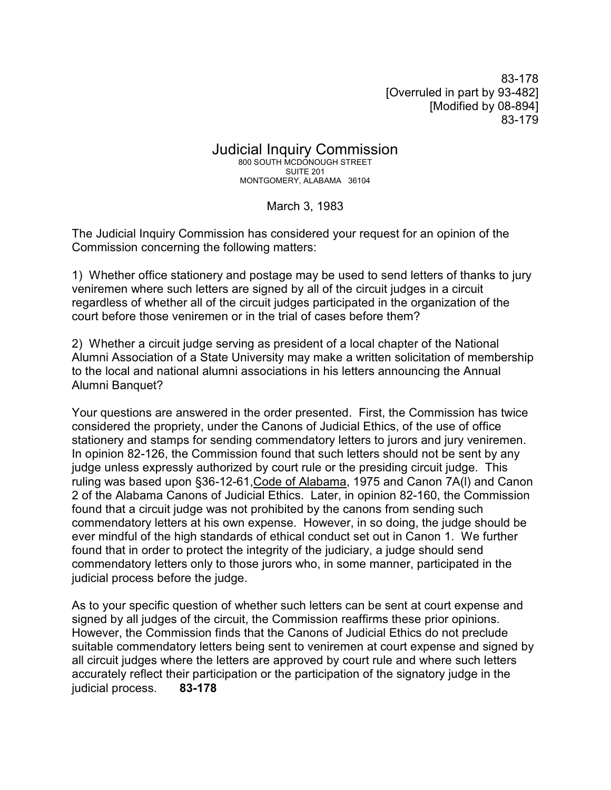83-178 [Overruled in part by 93-482] [Modified by 08-894] 83-179

Judicial Inquiry Commission 800 SOUTH MCDONOUGH STREET SUITE 201 MONTGOMERY, ALABAMA 36104

March 3, 1983

The Judicial Inquiry Commission has considered your request for an opinion of the Commission concerning the following matters:

1) Whether office stationery and postage may be used to send letters of thanks to jury veniremen where such letters are signed by all of the circuit judges in a circuit regardless of whether all of the circuit judges participated in the organization of the court before those veniremen or in the trial of cases before them?

2) Whether a circuit judge serving as president of a local chapter of the National Alumni Association of a State University may make a written solicitation of membership to the local and national alumni associations in his letters announcing the Annual Alumni Banquet?

Your questions are answered in the order presented. First, the Commission has twice considered the propriety, under the Canons of Judicial Ethics, of the use of office stationery and stamps for sending commendatory letters to jurors and jury veniremen. In opinion 82-126, the Commission found that such letters should not be sent by any judge unless expressly authorized by court rule or the presiding circuit judge. This ruling was based upon §36-12-61,Code of Alabama, 1975 and Canon 7A(l) and Canon 2 of the Alabama Canons of Judicial Ethics. Later, in opinion 82-160, the Commission found that a circuit judge was not prohibited by the canons from sending such commendatory letters at his own expense. However, in so doing, the judge should be ever mindful of the high standards of ethical conduct set out in Canon 1. We further found that in order to protect the integrity of the judiciary, a judge should send commendatory letters only to those jurors who, in some manner, participated in the judicial process before the judge.

As to your specific question of whether such letters can be sent at court expense and signed by all judges of the circuit, the Commission reaffirms these prior opinions. However, the Commission finds that the Canons of Judicial Ethics do not preclude suitable commendatory letters being sent to veniremen at court expense and signed by all circuit judges where the letters are approved by court rule and where such letters accurately reflect their participation or the participation of the signatory judge in the judicial process. **83-178**